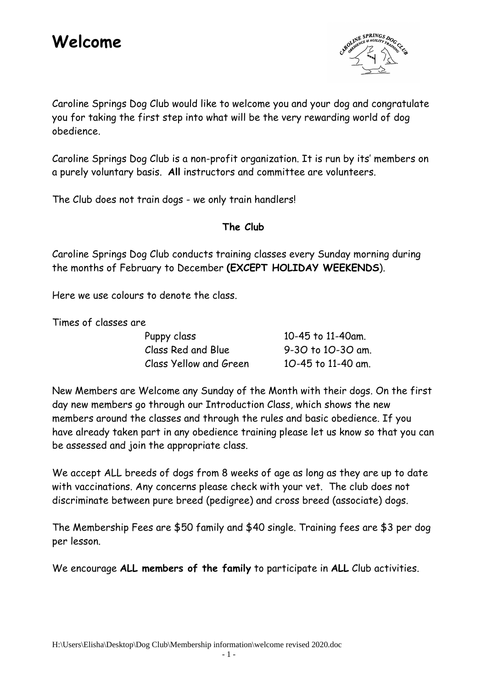

Caroline Springs Dog Club would like to welcome you and your dog and congratulate you for taking the first step into what will be the very rewarding world of dog obedience.

Caroline Springs Dog Club is a non-profit organization. It is run by its' members on a purely voluntary basis. **All** instructors and committee are volunteers.

The Club does not train dogs - we only train handlers!

### **The Club**

Caroline Springs Dog Club conducts training classes every Sunday morning during the months of February to December **(EXCEPT HOLIDAY WEEKENDS**).

Here we use colours to denote the class.

Times of classes are

| Puppy class            | 10-45 to 11-40am.  |
|------------------------|--------------------|
| Class Red and Blue     | 9-30 to 10-30 am.  |
| Class Yellow and Green | 10-45 to 11-40 am. |

New Members are Welcome any Sunday of the Month with their dogs. On the first day new members go through our Introduction Class, which shows the new members around the classes and through the rules and basic obedience. If you have already taken part in any obedience training please let us know so that you can be assessed and join the appropriate class.

We accept ALL breeds of dogs from 8 weeks of age as long as they are up to date with vaccinations. Any concerns please check with your vet. The club does not discriminate between pure breed (pedigree) and cross breed (associate) dogs.

The Membership Fees are \$50 family and \$40 single. Training fees are \$3 per dog per lesson.

We encourage **ALL members of the family** to participate in **ALL** Club activities.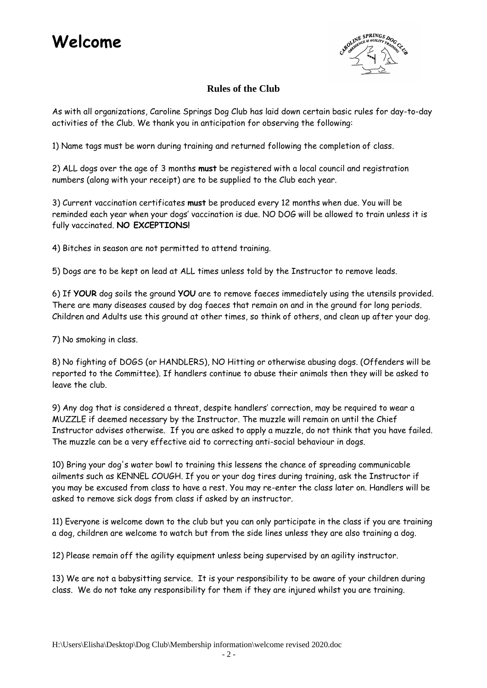# **Welcome**



#### **Rules of the Club**

As with all organizations, Caroline Springs Dog Club has laid down certain basic rules for day-to-day activities of the Club. We thank you in anticipation for observing the following:

1) Name tags must be worn during training and returned following the completion of class.

2) ALL dogs over the age of 3 months **must** be registered with a local council and registration numbers (along with your receipt) are to be supplied to the Club each year.

3) Current vaccination certificates **must** be produced every 12 months when due. You will be reminded each year when your dogs' vaccination is due. NO DOG will be allowed to train unless it is fully vaccinated. **NO EXCEPTIONS!**

4) Bitches in season are not permitted to attend training.

5) Dogs are to be kept on lead at ALL times unless told by the Instructor to remove leads.

6) If **YOUR** dog soils the ground **YOU** are to remove faeces immediately using the utensils provided. There are many diseases caused by dog faeces that remain on and in the ground for long periods. Children and Adults use this ground at other times, so think of others, and clean up after your dog.

7) No smoking in class.

8) No fighting of DOGS (or HANDLERS), NO Hitting or otherwise abusing dogs. (Offenders will be reported to the Committee). If handlers continue to abuse their animals then they will be asked to leave the club.

9) Any dog that is considered a threat, despite handlers' correction, may be required to wear a MUZZLE if deemed necessary by the Instructor. The muzzle will remain on until the Chief Instructor advises otherwise. If you are asked to apply a muzzle, do not think that you have failed. The muzzle can be a very effective aid to correcting anti-social behaviour in dogs.

10) Bring your dog's water bowl to training this lessens the chance of spreading communicable ailments such as KENNEL COUGH. If you or your dog tires during training, ask the Instructor if you may be excused from class to have a rest. You may re-enter the class later on. Handlers will be asked to remove sick dogs from class if asked by an instructor.

11) Everyone is welcome down to the club but you can only participate in the class if you are training a dog, children are welcome to watch but from the side lines unless they are also training a dog.

12) Please remain off the agility equipment unless being supervised by an agility instructor.

13) We are not a babysitting service. It is your responsibility to be aware of your children during class. We do not take any responsibility for them if they are injured whilst you are training.